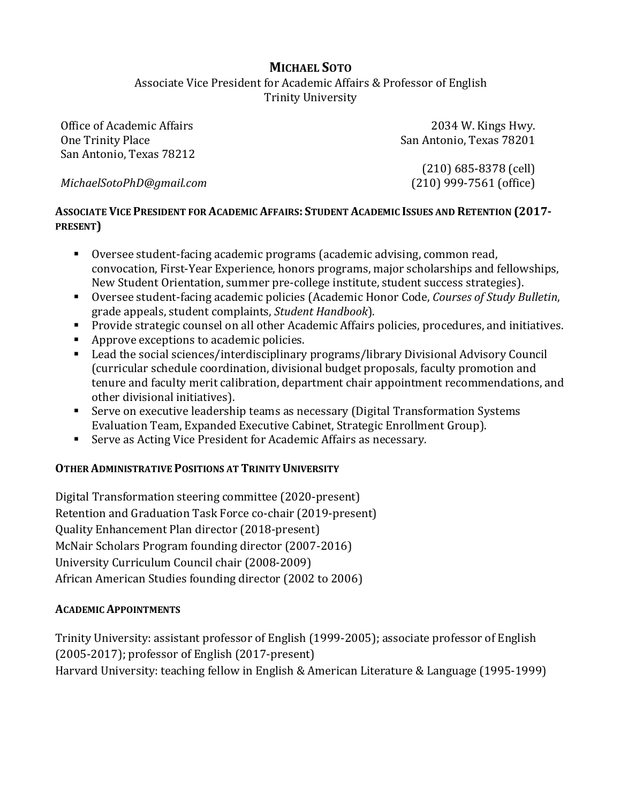# **MICHAEL SOTO**

Associate Vice President for Academic Affairs & Professor of English **Trinity University** 

Office of Academic Affairs One Trinity Place San Antonio, Texas 78212

2034 W. Kings Hwy. San Antonio, Texas 78201

*MichaelSotoPhD@gmail.com*

 $(210)$  685-8378 (cell) (210) 999-7561 (office)

## ASSOCIATE VICE PRESIDENT FOR ACADEMIC AFFAIRS: STUDENT ACADEMIC ISSUES AND RETENTION (2017-**PRESENT)**

- Oversee student-facing academic programs (academic advising, common read, convocation, First-Year Experience, honors programs, major scholarships and fellowships, New Student Orientation, summer pre-college institute, student success strategies).
- Oversee student-facing academic policies (Academic Honor Code, *Courses of Study Bulletin*, grade appeals, student complaints, *Student Handbook*).
- Provide strategic counsel on all other Academic Affairs policies, procedures, and initiatives.
- Approve exceptions to academic policies.
- Lead the social sciences/interdisciplinary programs/library Divisional Advisory Council (curricular schedule coordination, divisional budget proposals, faculty promotion and tenure and faculty merit calibration, department chair appointment recommendations, and other divisional initiatives).
- Serve on executive leadership teams as necessary (Digital Transformation Systems Evaluation Team, Expanded Executive Cabinet, Strategic Enrollment Group).
- Serve as Acting Vice President for Academic Affairs as necessary.

## **OTHER ADMINISTRATIVE POSITIONS AT TRINITY UNIVERSITY**

Digital Transformation steering committee (2020-present) Retention and Graduation Task Force co-chair (2019-present) Quality Enhancement Plan director (2018-present) McNair Scholars Program founding director (2007-2016) University Curriculum Council chair (2008-2009) African American Studies founding director (2002 to 2006)

#### **ACADEMIC APPOINTMENTS**

Trinity University: assistant professor of English (1999-2005); associate professor of English  $(2005-2017)$ ; professor of English  $(2017-present)$ Harvard University: teaching fellow in English & American Literature & Language (1995-1999)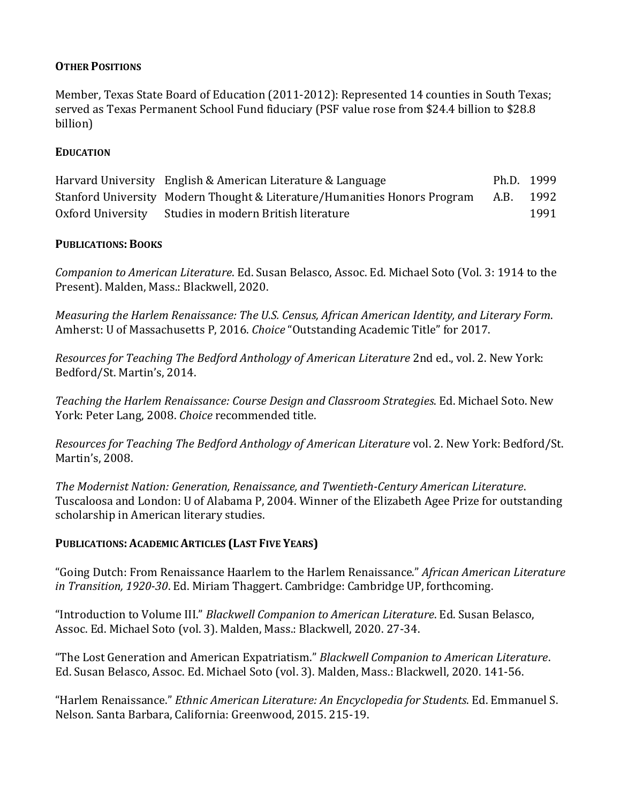### **OTHER POSITIONS**

Member, Texas State Board of Education (2011-2012): Represented 14 counties in South Texas; served as Texas Permanent School Fund fiduciary (PSF value rose from \$24.4 billion to \$28.8 billion)

#### **EDUCATION**

| Harvard University English & American Literature & Language               | Ph.D. 1999 |      |
|---------------------------------------------------------------------------|------------|------|
| Stanford University Modern Thought & Literature/Humanities Honors Program | A.B. 1992  |      |
| Oxford University Studies in modern British literature                    |            | 1991 |

#### **PUBLICATIONS:BOOKS**

*Companion to American Literature*. Ed. Susan Belasco, Assoc. Ed. Michael Soto (Vol. 3: 1914 to the Present). Malden, Mass.: Blackwell, 2020.

*Measuring the Harlem Renaissance: The U.S. Census, African American Identity, and Literary Form.* Amherst: U of Massachusetts P, 2016. *Choice* "Outstanding Academic Title" for 2017.

*Resources for Teaching The Bedford Anthology of American Literature 2nd ed., vol. 2. New York:* Bedford/St. Martin's, 2014.

Teaching the Harlem Renaissance: Course Design and Classroom Strategies. Ed. Michael Soto. New York: Peter Lang, 2008. *Choice* recommended title.

*Resources for Teaching The Bedford Anthology of American Literature* vol. 2. New York: Bedford/St. Martin's, 2008.

The Modernist Nation: Generation, Renaissance, and Twentieth-Century American Literature. Tuscaloosa and London: U of Alabama P, 2004. Winner of the Elizabeth Agee Prize for outstanding scholarship in American literary studies.

#### **PUBLICATIONS: ACADEMIC ARTICLES (LAST FIVE YEARS)**

"Going Dutch: From Renaissance Haarlem to the Harlem Renaissance." *African American Literature in Transition, 1920-30*. Ed. Miriam Thaggert. Cambridge: Cambridge UP, forthcoming.

"Introduction to Volume III." *Blackwell Companion to American Literature*. Ed. Susan Belasco, Assoc. Ed. Michael Soto (vol. 3). Malden, Mass.: Blackwell, 2020. 27-34.

"The Lost Generation and American Expatriatism." *Blackwell Companion to American Literature*. Ed. Susan Belasco, Assoc. Ed. Michael Soto (vol. 3). Malden, Mass.: Blackwell, 2020. 141-56.

"Harlem Renaissance." *Ethnic American Literature: An Encyclopedia for Students*. Ed. Emmanuel S. Nelson. Santa Barbara, California: Greenwood, 2015. 215-19.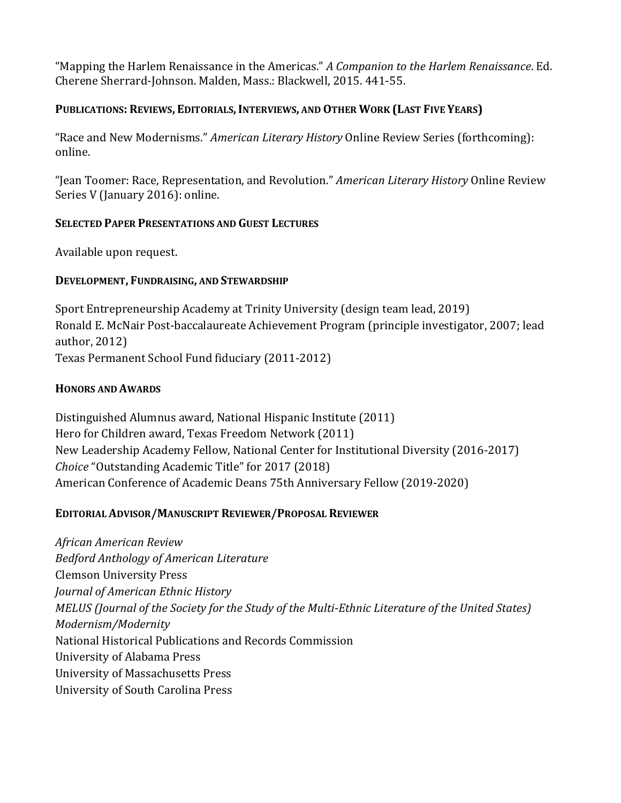"Mapping the Harlem Renaissance in the Americas." *A Companion to the Harlem Renaissance*. Ed. Cherene Sherrard-Johnson. Malden, Mass.: Blackwell, 2015. 441-55.

### **PUBLICATIONS: REVIEWS, EDITORIALS,INTERVIEWS, AND OTHER WORK (LAST FIVE YEARS)**

"Race and New Modernisms." *American Literary History* Online Review Series (forthcoming): online.

"Jean Toomer: Race, Representation, and Revolution." *American Literary History* Online Review Series V (January 2016): online.

#### **SELECTED PAPER PRESENTATIONS AND GUEST LECTURES**

Available upon request.

#### **DEVELOPMENT, FUNDRAISING, AND STEWARDSHIP**

Sport Entrepreneurship Academy at Trinity University (design team lead, 2019) Ronald E. McNair Post-baccalaureate Achievement Program (principle investigator, 2007; lead author, 2012) Texas Permanent School Fund fiduciary (2011-2012)

#### **HONORS AND AWARDS**

Distinguished Alumnus award, National Hispanic Institute (2011) Hero for Children award, Texas Freedom Network (2011) New Leadership Academy Fellow, National Center for Institutional Diversity (2016-2017) *Choice* "Outstanding Academic Title" for 2017 (2018) American Conference of Academic Deans 75th Anniversary Fellow (2019-2020)

#### **EDITORIAL ADVISOR/MANUSCRIPT REVIEWER/PROPOSAL REVIEWER**

*African American Review Bedford Anthology of American Literature* Clemson University Press *Journal of American Ethnic History MELUS* (Journal of the Society for the Study of the Multi-Ethnic Literature of the United States) *Modernism/Modernity* National Historical Publications and Records Commission University of Alabama Press University of Massachusetts Press University of South Carolina Press